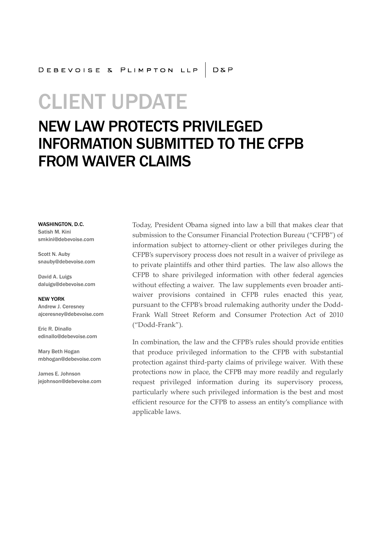# CLIENT UPDATE

# NEW LAW PROTECTS PRIVILEGED INFORMATION SUBMITTED TO THE CFPB FROM WAIVER CLAIMS

WASHINGTON, D.C. Satish M. Kini smkini@debevoise.com

Scott N. Auby snauby@debevoise.com

David A. Luigs daluigs@debevoise.com

NEW YORK Andrew J. Ceresney ajceresney@debevoise.com

Eric R. Dinallo edinallo@debevoise.com

Mary Beth Hogan mbhogan@debevoise.com

James E. Johnson jejohnson@debevoise.com Today, President Obama signed into law a bill that makes clear that submission to the Consumer Financial Protection Bureau ("CFPB") of information subject to attorney-client or other privileges during the CFPB's supervisory process does not result in a waiver of privilege as to private plaintiffs and other third parties. The law also allows the CFPB to share privileged information with other federal agencies without effecting a waiver. The law supplements even broader antiwaiver provisions contained in CFPB rules enacted this year, pursuant to the CFPB's broad rulemaking authority under the Dodd-Frank Wall Street Reform and Consumer Protection Act of 2010 ("Dodd-Frank").

In combination, the law and the CFPB's rules should provide entities that produce privileged information to the CFPB with substantial protection against third-party claims of privilege waiver. With these protections now in place, the CFPB may more readily and regularly request privileged information during its supervisory process, particularly where such privileged information is the best and most efficient resource for the CFPB to assess an entity's compliance with applicable laws.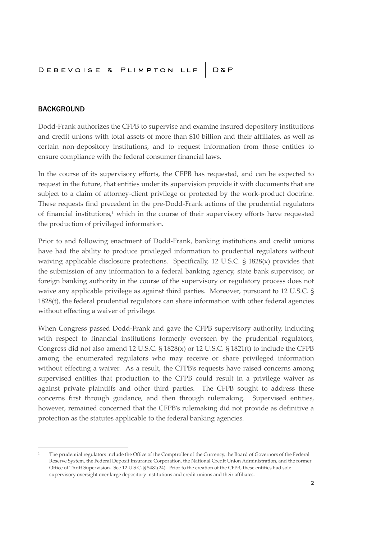#### BACKGROUND

Dodd-Frank authorizes the CFPB to supervise and examine insured depository institutions and credit unions with total assets of more than \$10 billion and their affiliates, as well as certain non-depository institutions, and to request information from those entities to ensure compliance with the federal consumer financial laws.

In the course of its supervisory efforts, the CFPB has requested, and can be expected to request in the future, that entities under its supervision provide it with documents that are subject to a claim of attorney-client privilege or protected by the work-product doctrine. These requests find precedent in the pre-Dodd-Frank actions of the prudential regulators of financial institutions, $1$  which in the course of their supervisory efforts have requested the production of privileged information.

Prior to and following enactment of Dodd-Frank, banking institutions and credit unions have had the ability to produce privileged information to prudential regulators without waiving applicable disclosure protections. Specifically, 12 U.S.C. § 1828(x) provides that the submission of any information to a federal banking agency, state bank supervisor, or foreign banking authority in the course of the supervisory or regulatory process does not waive any applicable privilege as against third parties. Moreover, pursuant to 12 U.S.C. § 1828(t), the federal prudential regulators can share information with other federal agencies without effecting a waiver of privilege.

When Congress passed Dodd-Frank and gave the CFPB supervisory authority, including with respect to financial institutions formerly overseen by the prudential regulators, Congress did not also amend 12 U.S.C.  $\S$  1828(x) or 12 U.S.C.  $\S$  1821(t) to include the CFPB among the enumerated regulators who may receive or share privileged information without effecting a waiver. As a result, the CFPB's requests have raised concerns among supervised entities that production to the CFPB could result in a privilege waiver as against private plaintiffs and other third parties. The CFPB sought to address these concerns first through guidance, and then through rulemaking. Supervised entities, however, remained concerned that the CFPB's rulemaking did not provide as definitive a protection as the statutes applicable to the federal banking agencies.

<sup>1</sup> The prudential regulators include the Office of the Comptroller of the Currency, the Board of Governors of the Federal Reserve System, the Federal Deposit Insurance Corporation, the National Credit Union Administration, and the former Office of Thrift Supervision. See 12 U.S.C. § 5481(24). Prior to the creation of the CFPB, these entities had sole supervisory oversight over large depository institutions and credit unions and their affiliates.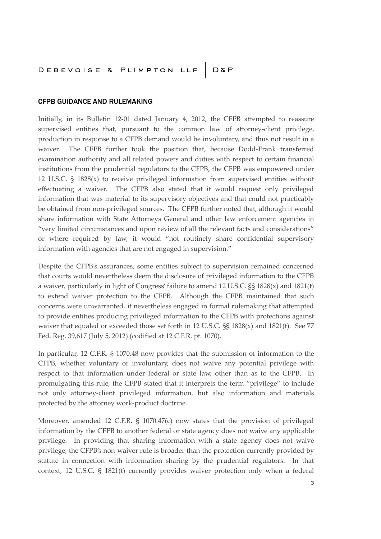### DEBEVOISE & PLIMPTON LLP | D&P

#### CFPB GUIDANCE AND RULEMAKING

Initially, in its Bulletin 12-01 dated January 4, 2012, the CFPB attempted to reassure supervised entities that, pursuant to the common law of attorney-client privilege, production in response to a CFPB demand would be involuntary, and thus not result in a waiver. The CFPB further took the position that, because Dodd-Frank transferred examination authority and all related powers and duties with respect to certain financial institutions from the prudential regulators to the CFPB, the CFPB was empowered under 12 U.S.C. § 1828(x) to receive privileged information from supervised entities without effectuating a waiver. The CFPB also stated that it would request only privileged information that was material to its supervisory objectives and that could not practicably be obtained from non-privileged sources. The CFPB further noted that, although it would share information with State Attorneys General and other law enforcement agencies in "very limited circumstances and upon review of all the relevant facts and considerations" or where required by law, it would "not routinely share confidential supervisory information with agencies that are not engaged in supervision."

Despite the CFPB's assurances, some entities subject to supervision remained concerned that courts would nevertheless deem the disclosure of privileged information to the CFPB a waiver, particularly in light of Congress' failure to amend 12 U.S.C. §§ 1828(x) and 1821(t) to extend waiver protection to the CFPB. Although the CFPB maintained that such concerns were unwarranted, it nevertheless engaged in formal rulemaking that attempted to provide entities producing privileged information to the CFPB with protections against waiver that equaled or exceeded those set forth in 12 U.S.C. §§ 1828(x) and 1821(t). See 77 Fed. Reg. 39,617 (July 5, 2012) (codified at 12 C.F.R. pt. 1070).

In particular, 12 C.F.R. § 1070.48 now provides that the submission of information to the CFPB, whether voluntary or involuntary, does not waive any potential privilege with respect to that information under federal or state law, other than as to the CFPB. In promulgating this rule, the CFPB stated that it interprets the term "privilege" to include not only attorney-client privileged information, but also information and materials protected by the attorney work-product doctrine.

Moreover, amended 12 C.F.R. § 1070.47(c) now states that the provision of privileged information by the CFPB to another federal or state agency does not waive any applicable privilege. In providing that sharing information with a state agency does not waive privilege, the CFPB's non-waiver rule is broader than the protection currently provided by statute in connection with information sharing by the prudential regulators. In that context, 12 U.S.C. § 1821(t) currently provides waiver protection only when a federal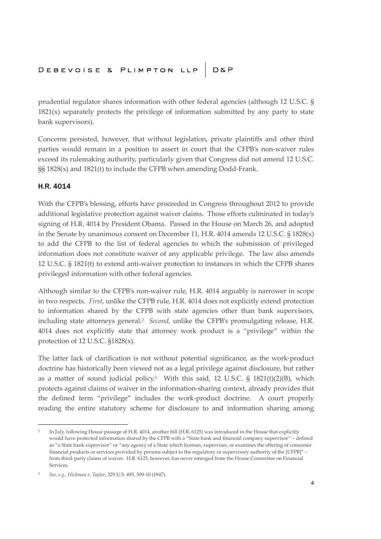## DEBEVOISE & PLIMPTON LLP | D&P

prudential regulator shares information with other federal agencies (although 12 U.S.C. §  $1821(x)$  separately protects the privilege of information submitted by any party to state bank supervisors).

Concerns persisted, however, that without legislation, private plaintiffs and other third parties would remain in a position to assert in court that the CFPB's non-waiver rules exceed its rulemaking authority, particularly given that Congress did not amend 12 U.S.C. §§ 1828(x) and 1821(t) to include the CFPB when amending Dodd-Frank.

#### H.R. 4014

With the CFPB's blessing, efforts have proceeded in Congress throughout 2012 to provide additional legislative protection against waiver claims. Those efforts culminated in today's signing of H.R. 4014 by President Obama. Passed in the House on March 26, and adopted in the Senate by unanimous consent on December 11, H.R. 4014 amends 12 U.S.C. § 1828(x) to add the CFPB to the list of federal agencies to which the submission of privileged information does not constitute waiver of any applicable privilege. The law also amends 12 U.S.C. § 1821(t) to extend anti-waiver protection to instances in which the CFPB shares privileged information with other federal agencies.

Although similar to the CFPB's non-waiver rule, H.R. 4014 arguably is narrower in scope in two respects. *First*, unlike the CFPB rule, H.R. 4014 does not explicitly extend protection to information shared by the CFPB with state agencies other than bank supervisors, including state attorneys general.<sup>2</sup> *Second*, unlike the CFPB's promulgating release, H.R. 4014 does not explicitly state that attorney work product is a "privilege" within the protection of 12 U.S.C. §1828(x).

The latter lack of clarification is not without potential significance, as the work-product doctrine has historically been viewed not as a legal privilege against disclosure, but rather as a matter of sound judicial policy.<sup>3</sup> With this said, 12 U.S.C. § 1821(t)(2)(B), which protects against claims of waiver in the information-sharing context, already provides that the defined term "privilege" includes the work-product doctrine. A court properly reading the entire statutory scheme for disclosure to and information sharing among

 $\overline{2}$ In July, following House passage of H.R. 4014, another bill (H.R. 6125) was introduced in the House that explicitly would have protected information shared by the CFPB with a "State bank and financial company supervisor" – defined as "a State bank supervisor" or "any agency of a State which licenses, supervises, or examines the offering of consumer financial products or services provided by persons subject to the regulatory or supervisory authority of the [CFPB]" – from third-party claims of waiver. H.R. 6125, however, has never emerged from the House Committee on Financial Services.

<sup>3</sup> *See, e.g., Hickman v. Taylor*, 329 U.S. 495, 509-10 (1947).